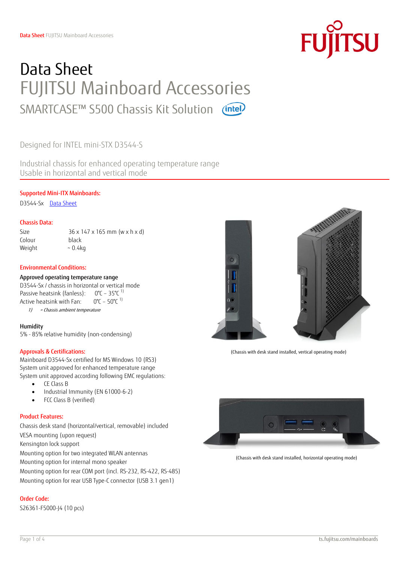## Data Sheet FUJITSU Mainboard Accessories SMARTCASE™ S500 Chassis Kit Solution (intel)

Designed for INTEL mini-STX D3544-S

Industrial chassis for enhanced operating temperature range Usable in horizontal and vertical mode

#### Supported Mini-ITX Mainboards:

D3544-Sx [Data Sheet](ftp://ftp.ts.fujitsu.com/pub/Mainboard-OEM-Sales/Products/Mainboards/Industrial&ExtendedLifetime/D3544-S_Mini-STX/Documentation/DS_D3544-S.pdf)

#### Chassis Data:

Colour black

Size 36 x 147 x 165 mm (w x h x d) Weight  $\sim 0.4$ kg

#### Environmental Conditions:

#### Approved operating temperature range

D3544-Sx / chassis in horizontal or vertical mode Passive heatsink (fanless):  $0^{\circ}$ C – 35 $^{\circ}$ C<sup>1)</sup> Active heatsink with Fan:  $0^{\circ}$ C – 50 $^{\circ}$ C<sup>1)</sup> 1) = Chassis ambient temperature

#### Humidity

5% - 85% relative humidity (non-condensing)

#### Approvals & Certifications:

Mainboard D3544-Sx certified for MS Windows 10 (RS3) System unit approved for enhanced temperature range System unit approved according following EMC regulations:

- CE Class B
- Industrial Immunity (EN 61000-6-2)
- FCC Class B (verified)

#### Product Features:

Chassis desk stand (horizontal/vertical, removable) included VESA mounting (upon request) Kensington lock support Mounting option for two integrated WLAN antennas Mounting option for internal mono speaker

Mounting option for rear COM port (incl. RS-232, RS-422, RS-485) Mounting option for rear USB Type-C connector (USB 3.1 gen1)

#### Order Code:

S26361-F5000-J4 (10 pcs)



(Chassis with desk stand installed, vertical operating mode)



(Chassis with desk stand installed, horizontal operating mode)

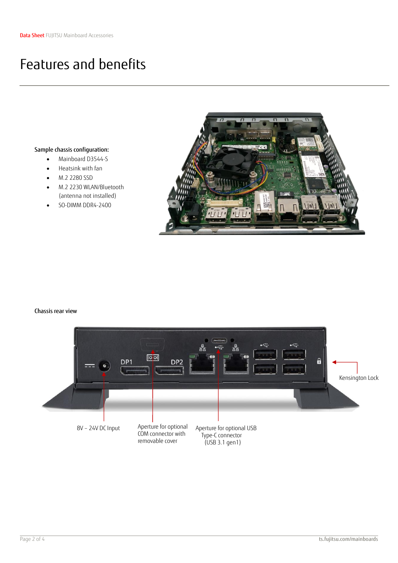### Features and benefits

#### Sample chassis configuration:

- Mainboard D3544-S
- Heatsink with fan
- M.2 2280 SSD
- M.2 2230 WLAN/Bluetooth (antenna not installed)
- SO-DIMM DDR4-2400



#### Chassis rear view

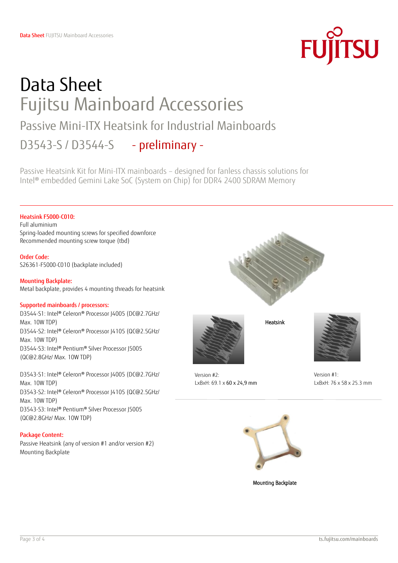# **FUJITSU**

## Data Sheet Fujitsu Mainboard Accessories Passive Mini-ITX Heatsink for Industrial Mainboards D3543-S / D3544-S - preliminary -

Passive Heatsink Kit for Mini-ITX mainboards – designed for fanless chassis solutions for Intel® embedded Gemini Lake SoC (System on Chip) for DDR4 2400 SDRAM Memory

#### Heatsink F5000-C010:

Full aluminium Spring-loaded mounting screws for specified downforce Recommended mounting screw torque (tbd)

#### Order Code:

S26361-F5000-C010 (backplate included)

#### Mounting Backplate: Metal backplate, provides 4 mounting threads for heatsink

#### Supported mainboards / processors:

D3544-S1: Intel® Celeron® Processor J4005 (DC@2.7GHz/ Max. 10W TDP) D3544-S2: Intel® Celeron® Processor J4105 (QC@2.5GHz/ Max. 10W TDP) D3544-S3: Intel® Pentium® Silver Processor J5005 (QC@2.8GHz/ Max. 10W TDP)

D3543-S1: Intel® Celeron® Processor J4005 (DC@2.7GHz/ Max. 10W TDP) D3543-S2: Intel® Celeron® Processor J4105 (QC@2.5GHz/ Max. 10W TDP) D3543-S3: Intel® Pentium® Silver Processor J5005 (QC@2.8GHz/ Max. 10W TDP)

#### Package Content:

Passive Heatsink (any of version #1 and/or version #2) Mounting Backplate



Heatsink

Version #1: LxBxH: 76 x 58 x 25.3 mm





Mounting Backplate